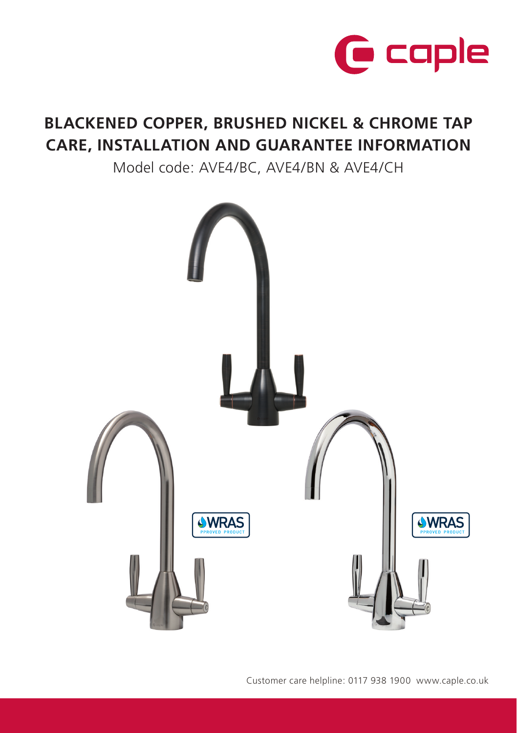

# **BLACKENED COPPER, BRUSHED NICKEL & CHROME TAP CARE, INSTALLATION AND GUARANTEE INFORMATION**

Model code: AVE4/BC, AVE4/BN & AVE4/CH



Customer care helpline: 0117 938 1900 www.caple.co.uk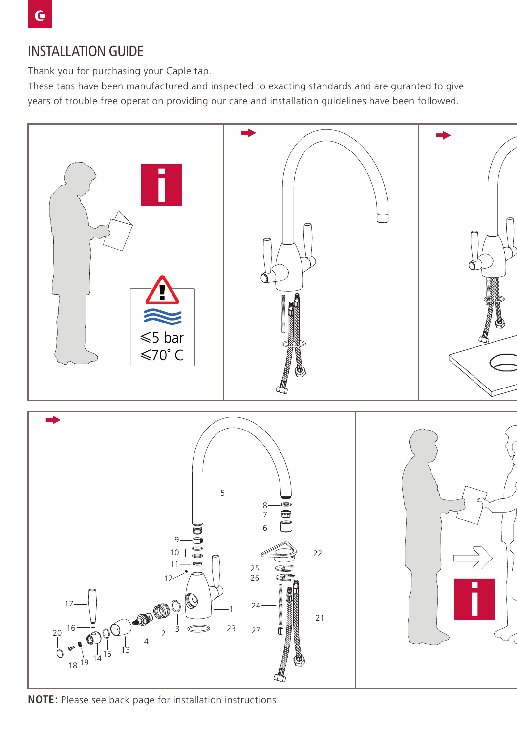Thank you for purchasing your Caple tap.

These taps have been manufactured and inspected to exacting standards and are guranted to give years of trouble free operation providing our care and installation guidelines have been followed.



**NOTE:** Please see back page for installation instructions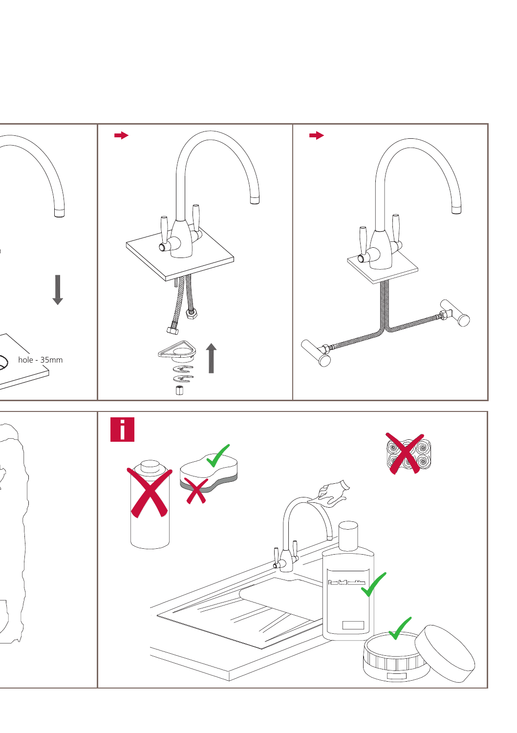